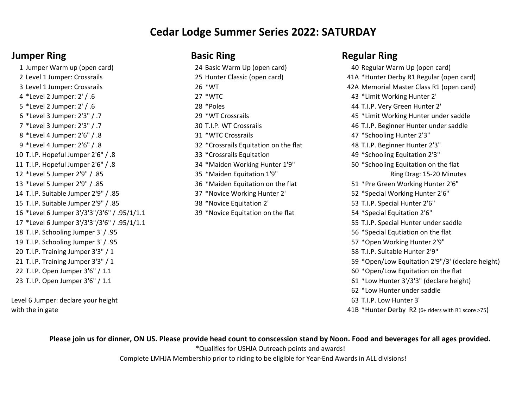## **Cedar Lodge Summer Series 2022: SATURDAY**

4 \*Level 2 Jumper: 2' / .6 27 \*WTC 43 \*Limit Working Hunter 2' 5 \*Level 2 Jumper: 2' / .6 28 \*Poles 44 T.I.P. Very Green Hunter 2' 8 \*Level 4 Jumper: 2'6" / .8 31 \*WTC Crossrails 47 \*Schooling Hunter 2'3" 9 \*Level 4 Jumper: 2'6" / .8 32 \*Crossrails Equitation on the flat 48 T.I.P. Beginner Hunter 2'3" T.I.P. Hopeful Jumper 2'6" / .8 33 \*Crossrails Equitation 49 \*Schooling Equitation 2'3" T.I.P. Hopeful Jumper 2'6" / .8 34 \*Maiden Working Hunter 1'9" 50 \*Schooling Equitation on the flat \*Level 5 Jumper 2'9" / .85 35 \*Maiden Equitation 1'9" \*Level 5 Jumper 2'9" / .85 36 \*Maiden Equitation on the flat 51 \*Pre Green Working Hunter 2'6" T.I.P. Suitable Jumper 2'9" / .85 37 \*Novice Working Hunter 2' 52 \*Special Working Hunter 2'6" T.I.P. Suitable Jumper 2'9" / .85 38 \*Novice Equitation 2' 53 T.I.P. Special Hunter 2'6" \*Level 6 Jumper 3'/3'3"/3'6" / .95/1/1.1 39 \*Novice Equitation on the flat 54 \*Special Equitation 2'6" T.I.P. Schooling Jumper 3' / .95 56 \*Special Equtiation on the flat T.I.P. Schooling Jumper 3' / .95 57 \*Open Working Hunter 2'9" T.I.P. Training Jumper 3'3" / 1 58 T.I.P. Suitable Hunter 2'9"

Level 6 Jumper: declare your height with the in gate

## **Jumper Ring Basic Ring <b>Regular Ring Regular Ring Regular Ring**

1 Jumper Warm up (open card) 24 Basic Warm Up (open card) 40 Regular Warm Up (open card) 2 Level 1 Jumper: Crossrails 25 Hunter Classic (open card) 41A \*Hunter Derby R1 Regular (open card) 3 Level 1 Jumper: Crossrails 26 \*WT 42A Memorial Master Class R1 (open card) 6 \*Level 3 Jumper: 2'3" / .7 29 \*WT Crossrails 45 \*Limit Working Hunter under saddle 7 \*Level 3 Jumper: 2'3" / .7 30 T.I.P. WT Crossrails 46 T.I.P. Beginner Hunter under saddle 17 \*Level 6 Jumper 3'/3'3"/3'6" / .95/1/1.1 55 T.I.P. Special Hunter under saddle 21 T.I.P. Training Jumper 3'3" / 1  $\sim$  59 \*Open/Low Equitation 2'9"/3' (declare height) 22 T.I.P. Open Jumper 3'6" / 1.1 60 \*Open/Low Equitation on the flat 23 T.I.P. Open Jumper 3'6" / 1.1 **61 \*Low Hunter 3'/3'3"** (declare height) 62 \*Low Hunter under saddle Ring Drag: 15-20 Minutes

- 63 T.I.P. Low Hunter 3'
- 41B \*Hunter Derby R2 (6+ riders with R1 score >75)

### **Please join us for dinner, ON US. Please provide head count to conscession stand by Noon. Food and beverages for all ages provided.**

\*Qualifies for USHJA Outreach points and awards!

Complete LMHJA Membership prior to riding to be eligible for Year-End Awards in ALL divisions!